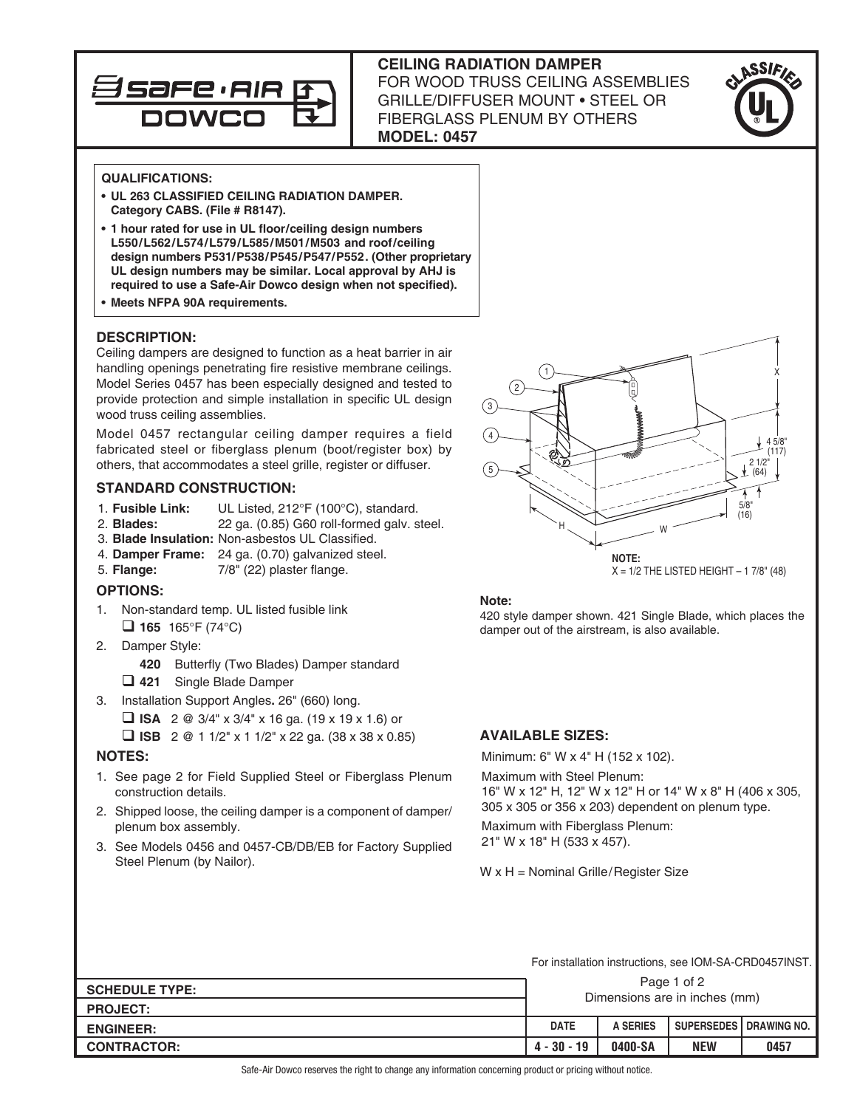

# **CEILING RADIATION DAMPER**  FOR WOOD TRUSS CEILING ASSEMBLIES GRILLE/DIFFUSER MOUNT • STEEL OR FIBERGLASS PLENUM BY OTHERS **MODEL: 0457**



## **QUALIFICATIONS:**

- **• UL 263 CLASSIFIED CEILING RADIATION DAMPER. Category CABS. (File # R8147).**
- **• 1 hour rated for use in UL floor/ceiling design numbers L550/L562/L574/L579/L585/M501/M503 and roof/ceiling design numbers P531/P538/P545/P547/P552. (Other proprietary UL design numbers may be similar. Local approval by AHJ is required to use a Safe-Air Dowco design when not specified).**
- **• Meets NFPA 90A requirements.**

## **DESCRIPTION:**

Ceiling dampers are designed to function as a heat barrier in air handling openings penetrating fire resistive membrane ceilings. Model Series 0457 has been especially designed and tested to provide protection and simple installation in specific UL design wood truss ceiling assemblies.

Model 0457 rectangular ceiling damper requires a field fabricated steel or fiberglass plenum (boot/register box) by others, that accommodates a steel grille, register or diffuser.

# **STANDARD CONSTRUCTION:**

- 1. **Fusible Link:** UL Listed, 212°F (100°C), standard.
- 2. **Blades:** 22 ga. (0.85) G60 roll-formed galv. steel.
- 3. **Blade Insulation:** Non-asbestos UL Classified.
- 4. **Damper Frame:** 24 ga. (0.70) galvanized steel.
- 5. **Flange:** 7/8" (22) plaster flange.

## **OPTIONS:**

- 1. Non-standard temp. UL listed fusible link  $\Box$  **165** 165°F (74°C)
- 2. Damper Style:
	- **420** Butterfly (Two Blades) Damper standard
	- q **421** Single Blade Damper
- 3. Installation Support Angles**.** 26" (660) long.
	- $\Box$  **ISA** 2 @ 3/4" x 3/4" x 16 ga. (19 x 19 x 1.6) or
	- $\Box$  **ISB** 2 @ 1 1/2" x 1 1/2" x 22 ga. (38 x 38 x 0.85)

## **NOTES:**

- 1. See page 2 for Field Supplied Steel or Fiberglass Plenum construction details.
- 2. Shipped loose, the ceiling damper is a component of damper/ plenum box assembly.
- 3. See Models 0456 and 0457-CB/DB/EB for Factory Supplied Steel Plenum (by Nailor).



#### **Note:**

420 style damper shown. 421 Single Blade, which places the damper out of the airstream, is also available.

## **AVAILABLE SIZES:**

Minimum: 6" W x 4" H (152 x 102).

Maximum with Steel Plenum:

16" W x 12" H, 12" W x 12" H or 14" W x 8" H (406 x 305, 305 x 305 or 356 x 203) dependent on plenum type.

Maximum with Fiberglass Plenum: 21" W x 18" H (533 x 457).

#### W x H = Nominal Grille/Register Size

For installation instructions, see IOM-SA-CRD0457INST.

| <b>SCHEDULE TYPE:</b> | Page 1 of 2<br>Dimensions are in inches (mm) |                 |            |                                 |
|-----------------------|----------------------------------------------|-----------------|------------|---------------------------------|
| <b>PROJECT:</b>       |                                              |                 |            |                                 |
| <b>ENGINEER:</b>      | <b>DATE</b>                                  | <b>A SERIES</b> |            | <b>SUPERSEDES I DRAWING NO.</b> |
| <b>CONTRACTOR:</b>    | $4 - 30 - 19$                                | 0400-SA         | <b>NEW</b> | 0457                            |

Safe-Air Dowco reserves the right to change any information concerning product or pricing without notice.